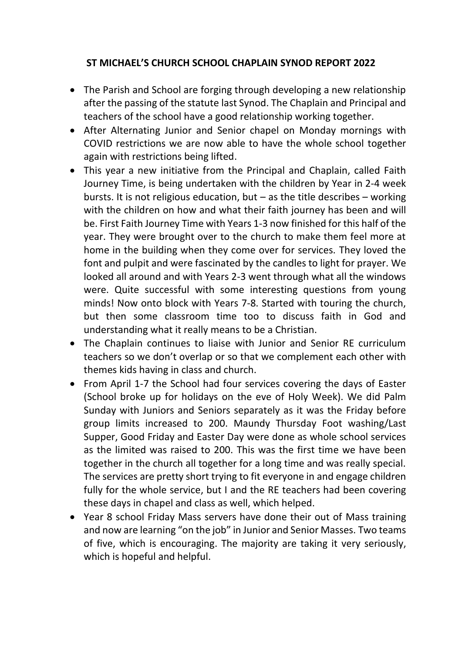## **ST MICHAEL'S CHURCH SCHOOL CHAPLAIN SYNOD REPORT 2022**

- The Parish and School are forging through developing a new relationship after the passing of the statute last Synod. The Chaplain and Principal and teachers of the school have a good relationship working together.
- After Alternating Junior and Senior chapel on Monday mornings with COVID restrictions we are now able to have the whole school together again with restrictions being lifted.
- This year a new initiative from the Principal and Chaplain, called Faith Journey Time, is being undertaken with the children by Year in 2-4 week bursts. It is not religious education, but  $-$  as the title describes  $-$  working with the children on how and what their faith journey has been and will be. First Faith Journey Time with Years 1-3 now finished for this half of the year. They were brought over to the church to make them feel more at home in the building when they come over for services. They loved the font and pulpit and were fascinated by the candles to light for prayer. We looked all around and with Years 2-3 went through what all the windows were. Quite successful with some interesting questions from young minds! Now onto block with Years 7-8. Started with touring the church, but then some classroom time too to discuss faith in God and understanding what it really means to be a Christian.
- The Chaplain continues to liaise with Junior and Senior RE curriculum teachers so we don't overlap or so that we complement each other with themes kids having in class and church.
- From April 1-7 the School had four services covering the days of Easter (School broke up for holidays on the eve of Holy Week). We did Palm Sunday with Juniors and Seniors separately as it was the Friday before group limits increased to 200. Maundy Thursday Foot washing/Last Supper, Good Friday and Easter Day were done as whole school services as the limited was raised to 200. This was the first time we have been together in the church all together for a long time and was really special. The services are pretty short trying to fit everyone in and engage children fully for the whole service, but I and the RE teachers had been covering these days in chapel and class as well, which helped.
- Year 8 school Friday Mass servers have done their out of Mass training and now are learning "on the job" in Junior and Senior Masses. Two teams of five, which is encouraging. The majority are taking it very seriously, which is hopeful and helpful.